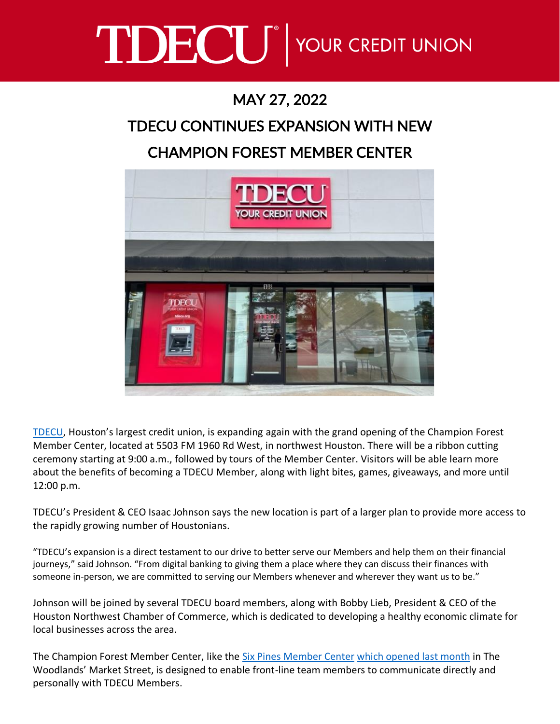# TDECU<sup>®</sup> YOUR CREDIT UNION

## MAY 27, 2022

# TDECU CONTINUES EXPANSION WITH NEW

### CHAMPION FOREST MEMBER CENTER



[TDECU](https://www.tdecu.org/), Houston's largest credit union, is expanding again with the grand opening of the Champion Forest Member Center, located at 5503 FM 1960 Rd West, in northwest Houston. There will be a ribbon cutting ceremony starting at 9:00 a.m., followed by tours of the Member Center. Visitors will be able learn more about the benefits of becoming a TDECU Member, along with light bites, games, giveaways, and more until 12:00 p.m.

TDECU's President & CEO Isaac Johnson says the new location is part of a larger plan to provide more access to the rapidly growing number of Houstonians.

"TDECU's expansion is a direct testament to our drive to better serve our Members and help them on their financial journeys," said Johnson. "From digital banking to giving them a place where they can discuss their finances with someone in-person, we are committed to serving our Members whenever and wherever they want us to be."

Johnson will be joined by several TDECU board members, along with Bobby Lieb, President & CEO of the Houston Northwest Chamber of Commerce, which is dedicated to developing a healthy economic climate for local businesses across the area.

The Champion Forest Member Center, like the [Six Pines Member Center](https://local.tdecu.org/tx/the-woodlands/9595-six-pines-drive--suite-1500.html) [which opened last month](https://www.facebook.com/TDECU/posts/10158419446442161) in The Woodlands' Market Street, is designed to enable front-line team members to communicate directly and personally with TDECU Members.